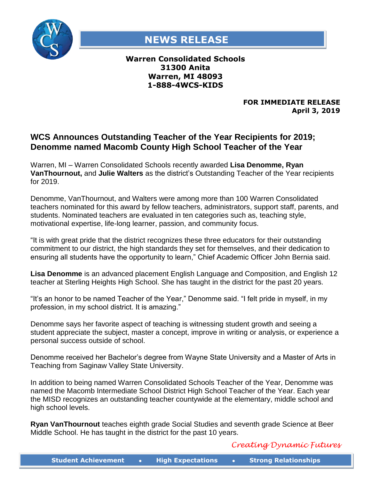

## **NEWS RELEASE**

## **Warren Consolidated Schools 31300 Anita Warren, MI 48093 1-888-4WCS-KIDS**

## **FOR IMMEDIATE RELEASE April 3, 2019**

## **WCS Announces Outstanding Teacher of the Year Recipients for 2019; Denomme named Macomb County High School Teacher of the Year**

Warren, MI – Warren Consolidated Schools recently awarded **Lisa Denomme, Ryan VanThournout,** and **Julie Walters** as the district's Outstanding Teacher of the Year recipients for 2019.

Denomme, VanThournout, and Walters were among more than 100 Warren Consolidated teachers nominated for this award by fellow teachers, administrators, support staff, parents, and students. Nominated teachers are evaluated in ten categories such as, teaching style, motivational expertise, life-long learner, passion, and community focus.

"It is with great pride that the district recognizes these three educators for their outstanding commitment to our district, the high standards they set for themselves, and their dedication to ensuring all students have the opportunity to learn," Chief Academic Officer John Bernia said.

**Lisa Denomme** is an advanced placement English Language and Composition, and English 12 teacher at Sterling Heights High School. She has taught in the district for the past 20 years.

"It's an honor to be named Teacher of the Year," Denomme said. "I felt pride in myself, in my profession, in my school district. It is amazing."

Denomme says her favorite aspect of teaching is witnessing student growth and seeing a student appreciate the subject, master a concept, improve in writing or analysis, or experience a personal success outside of school.

Denomme received her Bachelor's degree from Wayne State University and a Master of Arts in Teaching from Saginaw Valley State University.

In addition to being named Warren Consolidated Schools Teacher of the Year, Denomme was named the Macomb Intermediate School District High School Teacher of the Year. Each year the MISD recognizes an outstanding teacher countywide at the elementary, middle school and high school levels.

**Ryan VanThournout** teaches eighth grade Social Studies and seventh grade Science at Beer Middle School. He has taught in the district for the past 10 years.

*Creating Dynamic Futures*